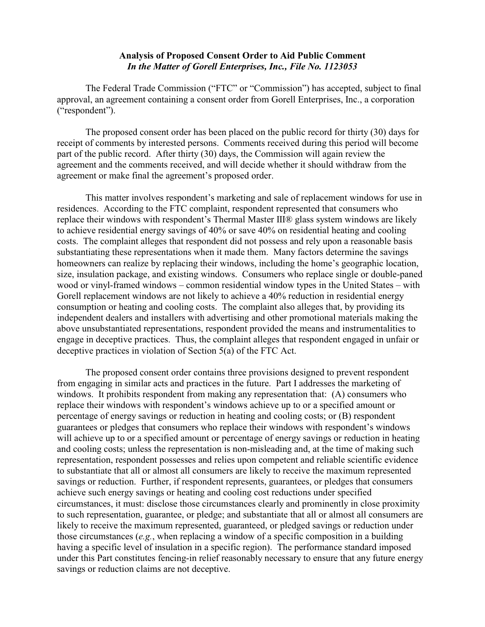## **Analysis of Proposed Consent Order to Aid Public Comment** *In the Matter of Gorell Enterprises, Inc., File No. 1123053*

The Federal Trade Commission ("FTC" or "Commission") has accepted, subject to final approval, an agreement containing a consent order from Gorell Enterprises, Inc., a corporation ("respondent").

The proposed consent order has been placed on the public record for thirty (30) days for receipt of comments by interested persons. Comments received during this period will become part of the public record. After thirty (30) days, the Commission will again review the agreement and the comments received, and will decide whether it should withdraw from the agreement or make final the agreement's proposed order.

This matter involves respondent's marketing and sale of replacement windows for use in residences. According to the FTC complaint, respondent represented that consumers who replace their windows with respondent's Thermal Master III® glass system windows are likely to achieve residential energy savings of 40% or save 40% on residential heating and cooling costs. The complaint alleges that respondent did not possess and rely upon a reasonable basis substantiating these representations when it made them. Many factors determine the savings homeowners can realize by replacing their windows, including the home's geographic location, size, insulation package, and existing windows. Consumers who replace single or double-paned wood or vinyl-framed windows – common residential window types in the United States – with Gorell replacement windows are not likely to achieve a 40% reduction in residential energy consumption or heating and cooling costs. The complaint also alleges that, by providing its independent dealers and installers with advertising and other promotional materials making the above unsubstantiated representations, respondent provided the means and instrumentalities to engage in deceptive practices. Thus, the complaint alleges that respondent engaged in unfair or deceptive practices in violation of Section 5(a) of the FTC Act.

The proposed consent order contains three provisions designed to prevent respondent from engaging in similar acts and practices in the future. Part I addresses the marketing of windows. It prohibits respondent from making any representation that: (A) consumers who replace their windows with respondent's windows achieve up to or a specified amount or percentage of energy savings or reduction in heating and cooling costs; or (B) respondent guarantees or pledges that consumers who replace their windows with respondent's windows will achieve up to or a specified amount or percentage of energy savings or reduction in heating and cooling costs; unless the representation is non-misleading and, at the time of making such representation, respondent possesses and relies upon competent and reliable scientific evidence to substantiate that all or almost all consumers are likely to receive the maximum represented savings or reduction. Further, if respondent represents, guarantees, or pledges that consumers achieve such energy savings or heating and cooling cost reductions under specified circumstances, it must: disclose those circumstances clearly and prominently in close proximity to such representation, guarantee, or pledge; and substantiate that all or almost all consumers are likely to receive the maximum represented, guaranteed, or pledged savings or reduction under those circumstances (*e.g.*, when replacing a window of a specific composition in a building having a specific level of insulation in a specific region). The performance standard imposed under this Part constitutes fencing-in relief reasonably necessary to ensure that any future energy savings or reduction claims are not deceptive.